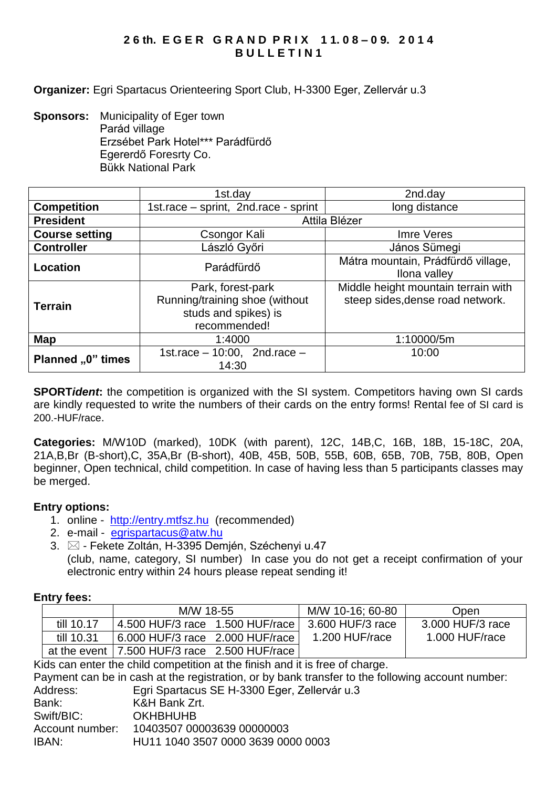## **2 6 th. E G E R G R A N D P R I X 1 1. 0 8 – 0 9. 2 0 1 4 B U L L E T I N 1**

**Organizer:** Egri Spartacus Orienteering Sport Club, H-3300 Eger, Zellervár u.3

**Sponsors:** Municipality of Eger town Parád village Erzsébet Park Hotel\*\*\* Parádfürdő Egererdő Foresrty Co. Bükk National Park

|                       | 1st.day                                                                                     | 2nd.day                                                                 |  |  |
|-----------------------|---------------------------------------------------------------------------------------------|-------------------------------------------------------------------------|--|--|
| <b>Competition</b>    | 1st.race - sprint, 2nd.race - sprint                                                        | long distance                                                           |  |  |
| <b>President</b>      | Attila Blézer                                                                               |                                                                         |  |  |
| <b>Course setting</b> | Csongor Kali                                                                                | Imre Veres                                                              |  |  |
| <b>Controller</b>     | László Győri                                                                                | János Sümegi                                                            |  |  |
| <b>Location</b>       | Parádfürdő                                                                                  | Mátra mountain, Prádfürdő village,<br>Ilona valley                      |  |  |
| <b>Terrain</b>        | Park, forest-park<br>Running/training shoe (without<br>studs and spikes) is<br>recommended! | Middle height mountain terrain with<br>steep sides, dense road network. |  |  |
| Map                   | 1:4000                                                                                      | 1:10000/5m                                                              |  |  |
| Planned "0" times     | 1st.race $-10:00$ , 2nd.race $-$<br>14:30                                                   | 10:00                                                                   |  |  |

**SPORT***ident*: the competition is organized with the SI system. Competitors having own SI cards are kindly requested to write the numbers of their cards on the entry forms! Rental fee of SI card is 200.-HUF/race.

**Categories:** M/W10D (marked), 10DK (with parent), 12C, 14B,C, 16B, 18B, 15-18C, 20A, 21A,B,Br (B-short),C, 35A,Br (B-short), 40B, 45B, 50B, 55B, 60B, 65B, 70B, 75B, 80B, Open beginner, Open technical, child competition. In case of having less than 5 participants classes may be merged.

## **Entry options:**

- 1. online [http://entry.mtfsz.hu](http://entry.mtfsz.hu/) (recommended)
- 2. e-mail [egrispartacus@atw.hu](mailto:egrispartacus@atw.hu)
- 3.  $\boxtimes$  Fekete Zoltán, H-3395 Demjén, Széchenyi u.47 (club, name, category, SI number) In case you do not get a receipt confirmation of your electronic entry within 24 hours please repeat sending it!

#### **Entry fees:**

|              | M/W 18-55                       |  | M/W 10-16: 60-80 | Open             |
|--------------|---------------------------------|--|------------------|------------------|
| till 10.17   | 4.500 HUF/3 race 1.500 HUF/race |  | 3.600 HUF/3 race | 3,000 HUF/3 race |
| till 10.31   | 6.000 HUF/3 race 2.000 HUF/race |  | 1.200 HUF/race   | 1.000 HUF/race   |
| at the event | 7.500 HUF/3 race 2.500 HUF/race |  |                  |                  |

Kids can enter the child competition at the finish and it is free of charge.

Payment can be in cash at the registration, or by bank transfer to the following account number: Address: Egri Spartacus SE H-3300 Eger, Zellervár u.3 Bank: K&H Bank Zrt. Swift/BIC: OKHBHUHB Account number: 10403507 00003639 00000003 IBAN: HU11 1040 3507 0000 3639 0000 0003